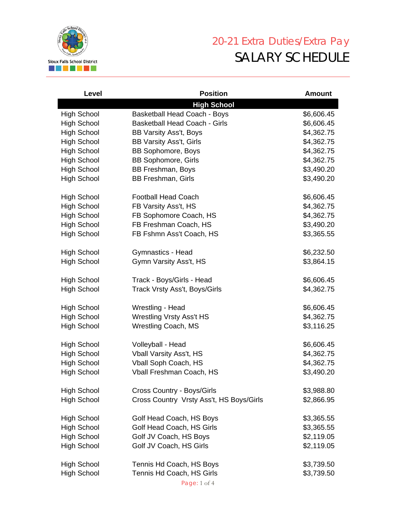

## 20-21 Extra Duties/Extra Pay SALARY SCHEDULE

| Level                                    | <b>Position</b>                                   | <b>Amount</b>            |
|------------------------------------------|---------------------------------------------------|--------------------------|
|                                          | <b>High School</b>                                |                          |
| <b>High School</b>                       | <b>Basketball Head Coach - Boys</b>               | \$6,606.45               |
| <b>High School</b>                       | <b>Basketball Head Coach - Girls</b>              | \$6,606.45               |
| <b>High School</b>                       | BB Varsity Ass't, Boys                            | \$4,362.75               |
| <b>High School</b>                       | <b>BB Varsity Ass't, Girls</b>                    | \$4,362.75               |
| <b>High School</b>                       | <b>BB Sophomore, Boys</b>                         | \$4,362.75               |
| <b>High School</b>                       | <b>BB Sophomore, Girls</b>                        | \$4,362.75               |
| <b>High School</b>                       | <b>BB Freshman, Boys</b>                          | \$3,490.20               |
| <b>High School</b>                       | <b>BB Freshman, Girls</b>                         | \$3,490.20               |
| <b>High School</b>                       | <b>Football Head Coach</b>                        | \$6,606.45               |
| <b>High School</b>                       | FB Varsity Ass't, HS                              | \$4,362.75               |
| <b>High School</b>                       | FB Sophomore Coach, HS                            | \$4,362.75               |
| <b>High School</b>                       | FB Freshman Coach, HS                             | \$3,490.20               |
| <b>High School</b>                       | FB Fshmn Ass't Coach, HS                          | \$3,365.55               |
| <b>High School</b>                       | Gymnastics - Head                                 | \$6,232.50               |
| <b>High School</b>                       | Gymn Varsity Ass't, HS                            | \$3,864.15               |
| <b>High School</b>                       | Track - Boys/Girls - Head                         | \$6,606.45               |
| <b>High School</b>                       | Track Vrsty Ass't, Boys/Girls                     | \$4,362.75               |
| <b>High School</b>                       | Wrestling - Head                                  | \$6,606.45               |
| <b>High School</b>                       | <b>Wrestling Vrsty Ass't HS</b>                   | \$4,362.75               |
| <b>High School</b>                       | <b>Wrestling Coach, MS</b>                        | \$3,116.25               |
| <b>High School</b>                       | Volleyball - Head                                 | \$6,606.45               |
| <b>High School</b>                       | <b>Vball Varsity Ass't, HS</b>                    | \$4,362.75               |
| <b>High School</b>                       | <b>Vball Soph Coach, HS</b>                       | \$4,362.75               |
| <b>High School</b>                       | Vball Freshman Coach, HS                          | \$3,490.20               |
| <b>High School</b>                       | Cross Country - Boys/Girls                        | \$3,988.80               |
| <b>High School</b>                       | Cross Country Vrsty Ass't, HS Boys/Girls          | \$2,866.95               |
|                                          |                                                   |                          |
| <b>High School</b>                       | Golf Head Coach, HS Boys                          | \$3,365.55               |
| <b>High School</b><br><b>High School</b> | Golf Head Coach, HS Girls                         | \$3,365.55<br>\$2,119.05 |
|                                          | Golf JV Coach, HS Boys<br>Golf JV Coach, HS Girls | \$2,119.05               |
| <b>High School</b>                       |                                                   |                          |
| <b>High School</b>                       | Tennis Hd Coach, HS Boys                          | \$3,739.50               |
| <b>High School</b>                       | Tennis Hd Coach, HS Girls                         | \$3,739.50               |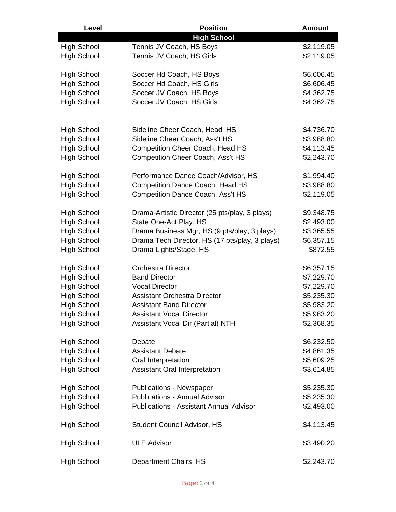| Level              | <b>Position</b>                                | <b>Amount</b> |
|--------------------|------------------------------------------------|---------------|
|                    | <b>High School</b>                             |               |
| <b>High School</b> | Tennis JV Coach, HS Boys                       | \$2,119.05    |
| <b>High School</b> | Tennis JV Coach, HS Girls                      | \$2,119.05    |
|                    |                                                |               |
| <b>High School</b> | Soccer Hd Coach, HS Boys                       | \$6,606.45    |
| <b>High School</b> | Soccer Hd Coach, HS Girls                      | \$6,606.45    |
| <b>High School</b> | Soccer JV Coach, HS Boys                       | \$4,362.75    |
| <b>High School</b> | Soccer JV Coach, HS Girls                      | \$4,362.75    |
|                    |                                                |               |
|                    |                                                |               |
| <b>High School</b> | Sideline Cheer Coach, Head HS                  | \$4,736.70    |
| <b>High School</b> | Sideline Cheer Coach, Ass't HS                 | \$3,988.80    |
| <b>High School</b> | <b>Competition Cheer Coach, Head HS</b>        | \$4,113.45    |
| <b>High School</b> | <b>Competition Cheer Coach, Ass't HS</b>       | \$2,243.70    |
|                    |                                                |               |
| <b>High School</b> | Performance Dance Coach/Advisor, HS            | \$1,994.40    |
| <b>High School</b> | <b>Competition Dance Coach, Head HS</b>        | \$3,988.80    |
| <b>High School</b> | <b>Competition Dance Coach, Ass't HS</b>       | \$2,119.05    |
|                    |                                                |               |
| <b>High School</b> | Drama-Artistic Director (25 pts/play, 3 plays) | \$9,348.75    |
| <b>High School</b> | State One-Act Play, HS                         | \$2,493.00    |
| <b>High School</b> | Drama Business Mgr, HS (9 pts/play, 3 plays)   | \$3,365.55    |
| <b>High School</b> | Drama Tech Director, HS (17 pts/play, 3 plays) | \$6,357.15    |
| <b>High School</b> | Drama Lights/Stage, HS                         | \$872.55      |
|                    |                                                |               |
| <b>High School</b> | <b>Orchestra Director</b>                      | \$6,357.15    |
| <b>High School</b> | <b>Band Director</b>                           | \$7,229.70    |
| <b>High School</b> | <b>Vocal Director</b>                          | \$7,229.70    |
| <b>High School</b> | <b>Assistant Orchestra Director</b>            | \$5,235.30    |
| <b>High School</b> | <b>Assistant Band Director</b>                 | \$5,983.20    |
| <b>High School</b> | <b>Assistant Vocal Director</b>                | \$5,983.20    |
| <b>High School</b> | <b>Assistant Vocal Dir (Partial) NTH</b>       | \$2,368.35    |
|                    |                                                |               |
| <b>High School</b> | Debate                                         | \$6,232.50    |
| <b>High School</b> | <b>Assistant Debate</b>                        | \$4,861.35    |
| <b>High School</b> | Oral Interpretation                            | \$5,609.25    |
| <b>High School</b> | <b>Assistant Oral Interpretation</b>           | \$3,614.85    |
|                    |                                                |               |
| <b>High School</b> | <b>Publications - Newspaper</b>                | \$5,235.30    |
| <b>High School</b> | <b>Publications - Annual Advisor</b>           | \$5,235.30    |
| <b>High School</b> | <b>Publications - Assistant Annual Advisor</b> | \$2,493.00    |
|                    |                                                |               |
| <b>High School</b> | <b>Student Council Advisor, HS</b>             | \$4,113.45    |
|                    |                                                |               |
| <b>High School</b> | <b>ULE Advisor</b>                             | \$3,490.20    |
|                    |                                                |               |
| <b>High School</b> | Department Chairs, HS                          | \$2,243.70    |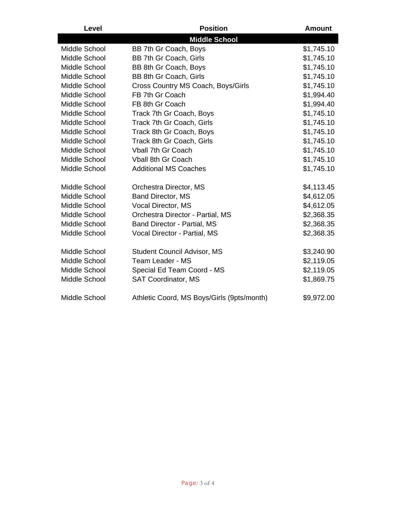| Level         | <b>Position</b>                            | <b>Amount</b> |
|---------------|--------------------------------------------|---------------|
|               | <b>Middle School</b>                       |               |
| Middle School | BB 7th Gr Coach, Boys                      | \$1,745.10    |
| Middle School | BB 7th Gr Coach, Girls                     | \$1,745.10    |
| Middle School | BB 8th Gr Coach, Boys                      | \$1,745.10    |
| Middle School | BB 8th Gr Coach, Girls                     | \$1,745.10    |
| Middle School | Cross Country MS Coach, Boys/Girls         | \$1,745.10    |
| Middle School | FB 7th Gr Coach                            | \$1,994.40    |
| Middle School | FB 8th Gr Coach                            | \$1,994.40    |
| Middle School | Track 7th Gr Coach, Boys                   | \$1,745.10    |
| Middle School | Track 7th Gr Coach, Girls                  | \$1,745.10    |
| Middle School | Track 8th Gr Coach, Boys                   | \$1,745.10    |
| Middle School | Track 8th Gr Coach, Girls                  | \$1,745.10    |
| Middle School | <b>Vball 7th Gr Coach</b>                  | \$1,745.10    |
| Middle School | <b>Vball 8th Gr Coach</b>                  | \$1,745.10    |
| Middle School | <b>Additional MS Coaches</b>               | \$1,745.10    |
| Middle School | Orchestra Director, MS                     | \$4,113.45    |
| Middle School | <b>Band Director, MS</b>                   | \$4,612.05    |
| Middle School | Vocal Director, MS                         | \$4,612.05    |
| Middle School | Orchestra Director - Partial, MS           | \$2,368.35    |
| Middle School | <b>Band Director - Partial, MS</b>         | \$2,368.35    |
| Middle School | Vocal Director - Partial, MS               | \$2,368.35    |
| Middle School | <b>Student Council Advisor, MS</b>         | \$3,240.90    |
| Middle School | Team Leader - MS                           | \$2,119.05    |
| Middle School | Special Ed Team Coord - MS                 | \$2,119.05    |
| Middle School | <b>SAT Coordinator, MS</b>                 | \$1,869.75    |
| Middle School | Athletic Coord, MS Boys/Girls (9pts/month) | \$9,972.00    |